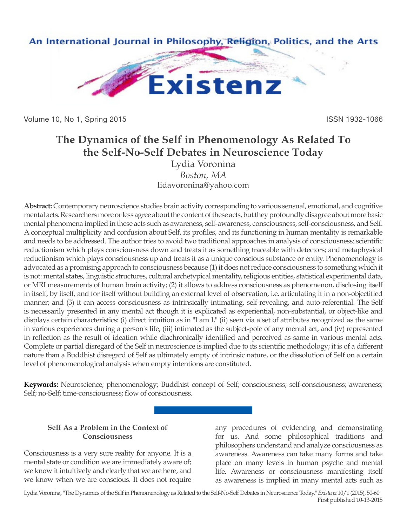

Volume 10, No 1, Spring 2015 **ISSN 1932-1066** 

# **The Dynamics of the Self in Phenomenology As Related To the Self-No-Self Debates in Neuroscience Today**

Lydia Voronina *Boston, MA* lidavoronina@yahoo.com

**Abstract:** Contemporary neuroscience studies brain activity corresponding to various sensual, emotional, and cognitive mental acts. Researchers more or less agree about the content of these acts, but they profoundly disagree about more basic mental phenomena implied in these acts such as awareness, self-awareness, consciousness, self-consciousness, and Self. A conceptual multiplicity and confusion about Self, its profiles, and its functioning in human mentality is remarkable and needs to be addressed. The author tries to avoid two traditional approaches in analysis of consciousness: scientific reductionism which plays consciousness down and treats it as something traceable with detectors; and metaphysical reductionism which plays consciousness up and treats it as a unique conscious substance or entity. Phenomenology is advocated as a promising approach to consciousness because (1) it does not reduce consciousness to something which it is not: mental states, linguistic structures, cultural archetypical mentality, religious entities, statistical experimental data, or MRI measurements of human brain activity; (2) it allows to address consciousness as phenomenon, disclosing itself in itself, by itself, and for itself without building an external level of observation, i.e. articulating it in a non-objectified manner; and (3) it can access consciousness as intrinsically intimating, self-revealing, and auto-referential. The Self is necessarily presented in any mental act though it is explicated as experiential, non-substantial, or object-like and displays certain characteristics: (i) direct intuition as in "I am I," (ii) seen via a set of attributes recognized as the same in various experiences during a person's life, (iii) intimated as the subject-pole of any mental act, and (iv) represented in reflection as the result of ideation while diachronically identified and perceived as same in various mental acts. Complete or partial disregard of the Self in neuroscience is implied due to its scientific methodology; it is of a different nature than a Buddhist disregard of Self as ultimately empty of intrinsic nature, or the dissolution of Self on a certain level of phenomenological analysis when empty intentions are constituted.

**Keywords:** Neuroscience; phenomenology; Buddhist concept of Self; consciousness; self-consciousness; awareness; Self; no-Self; time-consciousness; flow of consciousness.

## **Self As a Problem in the Context of Consciousness**

Consciousness is a very sure reality for anyone. It is a mental state or condition we are immediately aware of; we know it intuitively and clearly that we are here, and we know when we are conscious. It does not require any procedures of evidencing and demonstrating for us. And some philosophical traditions and philosophers understand and analyze consciousness as awareness. Awareness can take many forms and take place on many levels in human psyche and mental life. Awareness or consciousness manifesting itself as awareness is implied in many mental acts such as

Lydia Voronina, "The Dynamics of the Self in Phenomenology as Related to the Self-No-Self Debates in Neuroscience Today," *Existenz* 10/1 (2015), 50-60 First published 10-13-2015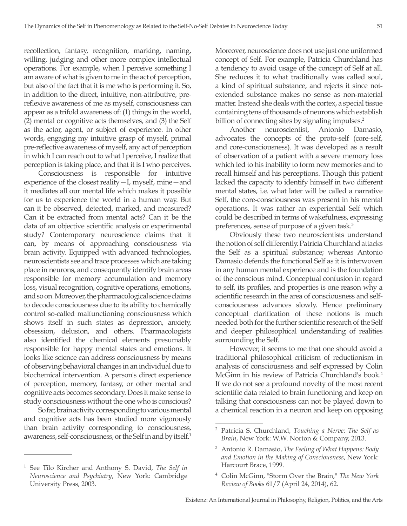recollection, fantasy, recognition, marking, naming, willing, judging and other more complex intellectual operations. For example, when I perceive something I am aware of what is given to me in the act of perception, but also of the fact that it is me who is performing it. So, in addition to the direct, intuitive, non-attributive, prereflexive awareness of me as myself, consciousness can appear as a trifold awareness of: (1) things in the world, (2) mental or cognitive acts themselves, and (3) the Self as the actor, agent, or subject of experience. In other words, engaging my intuitive grasp of myself, primal pre-reflective awareness of myself, any act of perception in which I can reach out to what I perceive, I realize that perception is taking place, and that it is I who perceives.

Consciousness is responsible for intuitive experience of the closest reality—I, myself, mine—and it mediates all our mental life which makes it possible for us to experience the world in a human way. But can it be observed, detected, marked, and measured? Can it be extracted from mental acts? Can it be the data of an objective scientific analysis or experimental study? Contemporary neuroscience claims that it can, by means of approaching consciousness via brain activity. Equipped with advanced technologies, neuroscientists see and trace processes which are taking place in neurons, and consequently identify brain areas responsible for memory accumulation and memory loss, visual recognition, cognitive operations, emotions, and so on. Moreover, the pharmacological science claims to decode consciousness due to its ability to chemically control so-called malfunctioning consciousness which shows itself in such states as depression, anxiety, obsession, delusion, and others. Pharmacologists also identified the chemical elements presumably responsible for happy mental states and emotions. It looks like science can address consciousness by means of observing behavioral changes in an individual due to biochemical intervention. A person's direct experience of perception, memory, fantasy, or other mental and cognitive acts becomes secondary. Does it make sense to study consciousness without the one who is conscious?

So far, brain activity corresponding to various mental and cognitive acts has been studied more vigorously than brain activity corresponding to consciousness, awareness, self-consciousness, or the Self in and by itself.1

Moreover, neuroscience does not use just one uniformed concept of Self. For example, Patricia Churchland has a tendency to avoid usage of the concept of Self at all. She reduces it to what traditionally was called soul, a kind of spiritual substance, and rejects it since notextended substance makes no sense as non-material matter. Instead she deals with the cortex, a special tissue containing tens of thousands of neurons which establish billion of connecting sites by signaling impulses.<sup>2</sup>

Another neuroscientist, Antonio Damasio, advocates the concepts of the proto-self (core-self, and core-consciousness). It was developed as a result of observation of a patient with a severe memory loss which led to his inability to form new memories and to recall himself and his perceptions. Though this patient lacked the capacity to identify himself in two different mental states, i.e. what later will be called a narrative Self, the core-consciousness was present in his mental operations. It was rather an experiential Self which could be described in terms of wakefulness, expressing preferences, sense of purpose of a given task.<sup>3</sup>

Obviously these two neuroscientists understand the notion of self differently. Patricia Churchland attacks the Self as a spiritual substance; whereas Antonio Damasio defends the functional Self as it is interwoven in any human mental experience and is the foundation of the conscious mind. Conceptual confusion in regard to self, its profiles, and properties is one reason why a scientific research in the area of consciousness and selfconsciousness advances slowly. Hence preliminary conceptual clarification of these notions is much needed both for the further scientific research of the Self and deeper philosophical understanding of realities surrounding the Self.

However, it seems to me that one should avoid a traditional philosophical criticism of reductionism in analysis of consciousness and self expressed by Colin McGinn in his review of Patricia Churchland's book.<sup>4</sup> If we do not see a profound novelty of the most recent scientific data related to brain functioning and keep on talking that consciousness can not be played down to a chemical reaction in a neuron and keep on opposing

<sup>1</sup> See Tilo Kircher and Anthony S. David, *The Self in Neuroscience and Psychiatry*, New York: Cambridge University Press, 2003.

<sup>2</sup> Patricia S. Churchland, *Touching a Nerve: The Self as Brain*, New York: W.W. Norton & Company, 2013.

<sup>3</sup> Antonio R. Damasio, *The Feeling of What Happens: Body and Emotion in the Making of Consciousness*, New York: Harcourt Brace, 1999.

<sup>4</sup> Colin McGinn, "Storm Over the Brain," *The New York Review of Books* 61/7 (April 24, 2014), 62.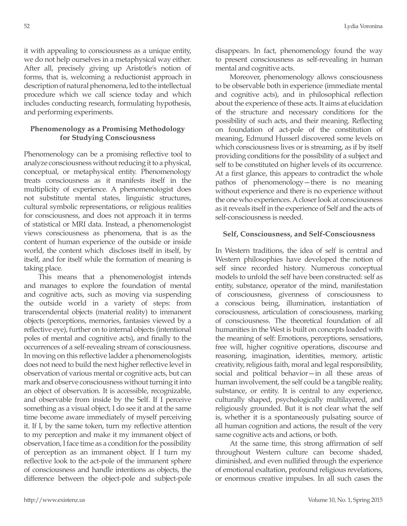it with appealing to consciousness as a unique entity, we do not help ourselves in a metaphysical way either. After all, precisely giving up Aristotle's notion of forms, that is, welcoming a reductionist approach in description of natural phenomena, led to the intellectual procedure which we call science today and which includes conducting research, formulating hypothesis, and performing experiments.

## **Phenomenology as a Promising Methodology for Studying Consciousness**

Phenomenology can be a promising reflective tool to analyze consciousness without reducing it to a physical, conceptual, or metaphysical entity. Phenomenology treats consciousness as it manifests itself in the multiplicity of experience. A phenomenologist does not substitute mental states, linguistic structures, cultural symbolic representations, or religious realities for consciousness, and does not approach it in terms of statistical or MRI data. Instead, a phenomenologist views consciousness as phenomena, that is as the content of human experience of the outside or inside world, the content which discloses itself in itself, by itself, and for itself while the formation of meaning is taking place.

This means that a phenomenologist intends and manages to explore the foundation of mental and cognitive acts, such as moving via suspending the outside world in a variety of steps: from transcendental objects (material reality) to immanent objects (perceptions, memories, fantasies viewed by a reflective eye), further on to internal objects (intentional poles of mental and cognitive acts), and finally to the occurrences of a self-revealing stream of consciousness. In moving on this reflective ladder a phenomenologists does not need to build the next higher reflective level in observation of various mental or cognitive acts, but can mark and observe consciousness without turning it into an object of observation. It is accessible, recognizable, and observable from inside by the Self. If I perceive something as a visual object, I do see it and at the same time become aware immediately of myself perceiving it. If I, by the same token, turn my reflective attention to my perception and make it my immanent object of observation, I face time as a condition for the possibility of perception as an immanent object. If I turn my reflective look to the act-pole of the immanent sphere of consciousness and handle intentions as objects, the difference between the object-pole and subject-pole

disappears. In fact, phenomenology found the way to present consciousness as self-revealing in human mental and cognitive acts.

Moreover, phenomenology allows consciousness to be observable both in experience (immediate mental and cognitive acts), and in philosophical reflection about the experience of these acts. It aims at elucidation of the structure and necessary conditions for the possibility of such acts, and their meaning. Reflecting on foundation of act-pole of the constitution of meaning, Edmund Husserl discovered some levels on which consciousness lives or is streaming, as if by itself providing conditions for the possibility of a subject and self to be constituted on higher levels of its occurrence. At a first glance, this appears to contradict the whole pathos of phenomenology—there is no meaning without experience and there is no experience without the one who experiences. A closer look at consciousness as it reveals itself in the experience of Self and the acts of self-consciousness is needed.

#### **Self, Consciousness, and Self-Consciousness**

In Western traditions, the idea of self is central and Western philosophies have developed the notion of self since recorded history. Numerous conceptual models to unfold the self have been constructed: self as entity, substance, operator of the mind, manifestation of consciousness, givenness of consciousness to a conscious being, illumination, instantiation of consciousness, articulation of consciousness, marking of consciousness. The theoretical foundation of all humanities in the West is built on concepts loaded with the meaning of self: Emotions, perceptions, sensations, free will, higher cognitive operations, discourse and reasoning, imagination, identities, memory, artistic creativity, religious faith, moral and legal responsibility, social and political behavior—in all these areas of human involvement, the self could be a tangible reality, substance, or entity. It is central to any experience, culturally shaped, psychologically multilayered, and religiously grounded. But it is not clear what the self is, whether it is a spontaneously pulsating source of all human cognition and actions, the result of the very same cognitive acts and actions, or both.

At the same time, this strong affirmation of self throughout Western culture can become shaded, diminished, and even nullified through the experience of emotional exaltation, profound religious revelations, or enormous creative impulses. In all such cases the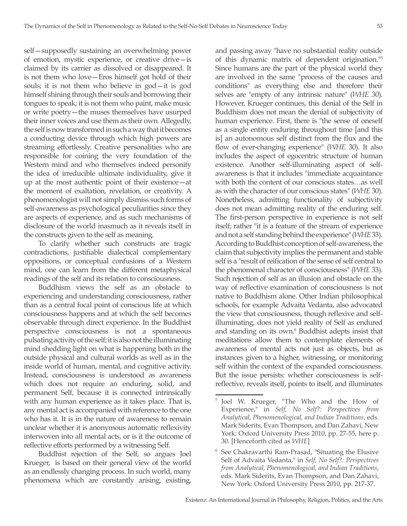self—supposedly sustaining an overwhelming power of emotion, mystic experience, or creative drive—is claimed by its carrier as dissolved or disappeared. It is not them who love—Eros himself got hold of their souls; it is not them who believe in god—it is god himself shining through their souls and borrowing their tongues to speak; it is not them who paint, make music or write poetry—the muses themselves have usurped their inner voices and use them as their own. Allegedly, the self is now transformed in such a way that it becomes a conducting device through which high powers are streaming effortlessly. Creative personalities who are responsible for coining the very foundation of the Western mind and who themselves indeed personify the idea of irreducible ultimate individuality, give it up at the most authentic point of their existence—at the moment of exaltation, revelation, or creativity. A phenomenologist will not simply dismiss such forms of self-awareness as psychological peculiarities since they are aspects of experience, and as such mechanisms of disclosure of the world inasmuch as it reveals itself in the constructs given to the self as meaning.

To clarify whether such constructs are tragic contradictions, justifiable dialectical complementary oppositions, or conceptual confusions of a Western mind, one can learn from the different metaphysical readings of the self and its relation to consciousness.

Buddhism views the self as an obstacle to experiencing and understanding consciousness, rather than as a central focal point of conscious life at which consciousness happens and at which the self becomes observable through direct experience. In the Buddhist perspective consciousness is not a spontaneous pulsating activity of the self; it is also not the illuminating mind shedding light on what is happening both in the outside physical and cultural worlds as well as in the inside world of human, mental, and cognitive activity. Instead, consciousness is understood as awareness which does not require an enduring, solid, and permanent Self, because it is connected intrinsically with any human experience as it takes place. That is, any mental act is accompanied with reference to the one who has it. It is in the nature of awareness to remain unclear whether it is anonymous automatic reflexivity interwoven into all mental acts, or is it the outcome of reflective efforts performed by a witnessing Self.

Buddhist rejection of the Self, so argues Joel Krueger, is based on their general view of the world as an endlessly changing process. In such world, many phenomena which are constantly arising, existing,

and passing away "have no substantial reality outside of this dynamic matrix of dependent origination."5 Since humans are the part of the physical world they are involved in the same "process of the causes and conditions" as everything else and therefore their selves are "empty of any intrinsic nature" (*WHE* 30). However, Krueger continues, this denial of the Self in Buddhism does not mean the denial of subjectivity of human experience. First, there is "the sense of oneself as a single entity enduring throughout time [and this is] an autonomous self distinct from the flux and the flow of ever-changing experience" (*WHE* 30). It also includes the aspect of egocentric structure of human existence. Another self-illuminating aspect of selfawareness is that it includes "immediate acquaintance with both the content of our conscious states…as well as with the character of our conscious states" (*WHE* 30). Nonetheless, admitting functionality of subjectivity does not mean admitting reality of the enduring self. The first-person perspective in experience is not self itself; rather "it is a feature of the stream of experience and not a self standing behind the experience" (*WHE* 33). According to Buddhist conception of self-awareness, the claim that subjectivity implies the permanent and stable self is a "result of reification of the sense of self central to the phenomenal character of consciousness" (*WHE* 33). Such rejection of self as an illusion and obstacle on the way of reflective examination of consciousness is not native to Buddhism alone. Other Indian philosophical schools, for example Advaita Vedanta, also advocated the view that consciousness, though reflexive and selfilluminating, does not yield reality of Self as endured and standing on its own.<sup>6</sup> Buddhist adepts insist that meditations allow them to contemplate elements of awareness of mental acts not just as objects, but as instances given to a higher, witnessing, or monitoring self within the context of the expanded consciousness. But the issue persists: whether consciousness is selfreflective, reveals itself, points to itself, and illuminates

<sup>5</sup> Joel W. Krueger, "The Who and the How of Experience," in *Self, No Self?: Perspectives from Analytical, Phenomenological, and Indian Traditions*, eds. Mark Siderits, Evan Thompson, and Dan Zahavi, New York: Oxford University Press 2010, pp. 27-55, here p. 30. [Henceforth cited as *WHE*]

 $6$  See Chakravarthi Ram-Prasad, "Situating the Elusive Self of Advaita Vedanta," in *Self, No Self?: Perspectives from Analytical, Phenomenological, and Indian Traditions*, eds. Mark Siderits, Evan Thompson, and Dan Zahavi, New York: Oxford University Press 2010, pp. 217-37.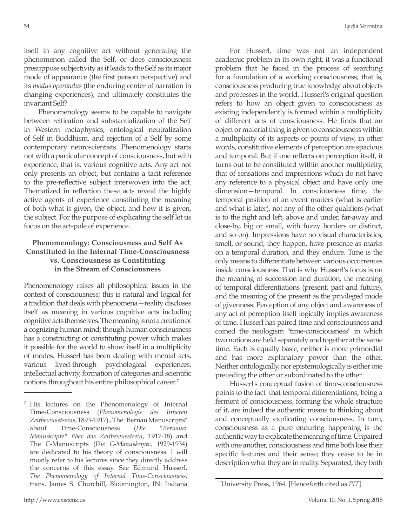itself in any cognitive act without generating the phenomenon called the Self, or does consciousness presuppose subjectivity as it leads to the Self as its major mode of appearance (the first person perspective) and its *modus operandus* (the enduring center of narration in changing experiences), and ultimately constitutes the invariant Self?

Phenomenology seems to be capable to navigate between reification and substantialization of the Self in Western metaphysics, ontological neutralization of Self in Buddhism, and rejection of a Self by some contemporary neuroscientists. Phenomenology starts not with a particular concept of consciousness, but with experience, that is, various cognitive acts. Any act not only presents an object, but contains a tacit reference to the pre-reflective subject interwoven into the act. Thematized in reflection these acts reveal the highly active agents of experience constituting the meaning of both what is given, the object, and how it is given, the subject. For the purpose of explicating the self let us focus on the act-pole of experience.

## **Phenomenology: Consciousness and Self As Constituted in the Internal Time-Consciousness vs. Consciousness as Constituting in the Stream of Consciousness**

Phenomenology raises all philosophical issues in the context of consciousness; this is natural and logical for a tradition that deals with phenomena—reality discloses itself as meaning in various cognitive acts including cognitive acts themselves. The meaning is not a creation of a cognizing human mind; though human consciousness has a constructing or constituting power which makes it possible for the world to show itself in a multiplicity of modes. Husserl has been dealing with mental acts, various lived-through psychological experiences, intellectual activity, formation of categories and scientific notions throughout his entire philosophical career.7

For Husserl, time was not an independent academic problem in its own right; it was a functional problem that he faced in the process of searching for a foundation of a working consciousness, that is, consciousness producing true knowledge about objects and processes in the world. Husserl's original question refers to how an object given to consciousness as existing independently is formed within a multiplicity of different acts of consciousness. He finds that an object or material thing is given to consciousness within a multiplicity of its aspects or points of view, in other words, constitutive elements of perception are spacious and temporal. But if one reflects on perception itself, it turns out to be constituted within another multiplicity, that of sensations and impressions which do not have any reference to a physical object and have only one dimension—temporal. In consciousness time, the temporal position of an event matters (what is earlier and what is later), not any of the other qualifiers (what is to the right and left, above and under, far-away and close-by, big or small, with fuzzy borders or distinct, and so on). Impressions have no visual characteristics, smell, or sound; they happen, have presence as marks on a temporal duration, and they endure. Time is the only means to differentiate between various occurrences inside consciousness. That is why Husserl's focus is on the meaning of succession and duration, the meaning of temporal differentiations (present, past and future), and the meaning of the present as the privileged mode of givenness. Perception of any object and awareness of any act of perception itself logically implies awareness of time. Husserl has paired time and consciousness and coined the neologism "time-consciousness" in which two notions are held separately and together at the same time. Each is equally basic, neither is more primordial and has more explanatory power than the other. Neither ontologically, nor epistemologically is either one preceding the other or subordinated to the other.

Husserl's conceptual fusion of time-consciousness points to the fact that temporal differentiations, being a ferment of consciousness, forming the whole structure of it, are indeed the authentic means to thinking about and conceptually explicating consciousness. In turn, consciousness as a pure enduring happening is the authentic way to explicate the meaning of time. Unpaired with one another, consciousness and time both lose their specific features and their sense; they cease to be in description what they are in reality. Separated, they both

 $<sup>7</sup>$  His lectures on the Phenomenology of Internal</sup> Time-Consciousness (*Phenomenologie des Inneren Zeitbewusstseins*, 1893-1917) , The "Bernau Manuscripts" about Time-Consciousness (*Die "Bernauer Manuskripte" über das Zeitbewusstsein*, 1917-18) and The C-Manuscripts (*Die C-Manuskripte*, 1929-1934) are dedicated to his theory of consciousness. I will mostly refer to his lectures since they directly address the concerns of this essay. See Edmund Husserl, *The Phenomenology of Internal Time-Consciousness*, trans. James S. Churchill, Bloomington, IN: Indiana

University Press, 1964. [Henceforth cited as *PIT*]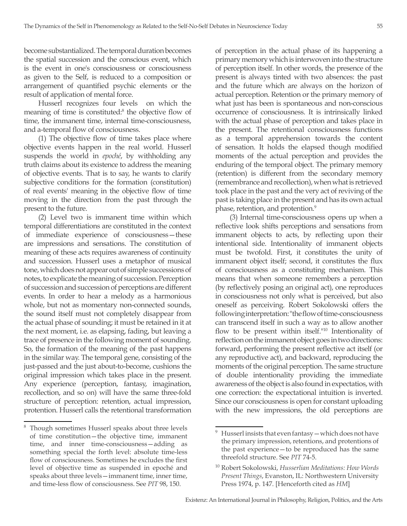become substantialized. The temporal duration becomes the spatial succession and the conscious event, which is the event in one's consciousness or consciousness as given to the Self, is reduced to a composition or arrangement of quantified psychic elements or the result of application of mental force.

Husserl recognizes four levels on which the meaning of time is constituted.<sup>8</sup> the objective flow of time, the immanent time, internal time-consciousness, and a-temporal flow of consciousness.

(1) The objective flow of time takes place where objective events happen in the real world. Husserl suspends the world in *epoché*, by withholding any truth claims about its existence to address the meaning of objective events. That is to say, he wants to clarify subjective conditions for the formation (constitution) of real events' meaning in the objective flow of time moving in the direction from the past through the present to the future.

(2) Level two is immanent time within which temporal differentiations are constituted in the context of immediate experience of consciousness—these are impressions and sensations. The constitution of meaning of these acts requires awareness of continuity and succession. Husserl uses a metaphor of musical tone, which does not appear out of simple successions of notes, to explicate the meaning of succession. Perception of succession and succession of perceptions are different events. In order to hear a melody as a harmonious whole, but not as momentary non-connected sounds, the sound itself must not completely disappear from the actual phase of sounding; it must be retained in it at the next moment, i.e. as elapsing, fading, but leaving a trace of presence in the following moment of sounding. So, the formation of the meaning of the past happens in the similar way. The temporal gene, consisting of the just-passed and the just about-to-become, cushions the original impression which takes place in the present. Any experience (perception, fantasy, imagination, recollection, and so on) will have the same three-fold structure of perception: retention, actual impression, protention. Husserl calls the retentional transformation of perception in the actual phase of its happening a primary memory which is interwoven into the structure of perception itself. In other words, the presence of the present is always tinted with two absences: the past and the future which are always on the horizon of actual perception. Retention or the primary memory of what just has been is spontaneous and non-conscious occurrence of consciousness. It is intrinsically linked with the actual phase of perception and takes place in the present. The retentional consciousness functions as a temporal apprehension towards the content of sensation. It holds the elapsed though modified moments of the actual perception and provides the enduring of the temporal object. The primary memory (retention) is different from the secondary memory (remembrance and recollection), when what is retrieved took place in the past and the very act of reviving of the past is taking place in the present and has its own actual phase, retention, and protention.<sup>9</sup>

(3) Internal time-consciousness opens up when a reflective look shifts perceptions and sensations from immanent objects to acts, by reflecting upon their intentional side. Intentionality of immanent objects must be twofold. First, it constitutes the unity of immanent object itself; second, it constitutes the flux of consciousness as a constituting mechanism. This means that when someone remembers a perception (by reflectively posing an original act), one reproduces in consciousness not only what is perceived, but also oneself as perceiving. Robert Sokolowski offers the following interpretation: "the flow of time-consciousness can transcend itself in such a way as to allow another flow to be present within itself."10 Intentionality of reflection on the immanent object goes in two directions: forward, performing the present reflective act itself (or any reproductive act), and backward, reproducing the moments of the original perception. The same structure of double intentionality providing the immediate awareness of the object is also found in expectatios, with one correction: the expectational intuition is inverted. Since our consciousness is open for constant uploading with the new impressions, the old perceptions are

Though sometimes Husserl speaks about three levels of time constitution—the objective time, immanent time, and inner time-consciousness—adding as something special the forth level: absolute time-less flow of consciousness. Sometimes he excludes the first level of objective time as suspended in epoché and speaks about three levels—immanent time, inner time, and time-less flow of consciousness. See *PIT* 98, 150.

Husserl insists that even fantasy — which does not have the primary impression, retentions, and protentions of the past experience—to be reproduced has the same threefold structure. See *PIT* 74-5.

<sup>10</sup> Robert Sokolowski, *Husserlian Meditations: How Words Present Things*, Evanston, IL: Northwestern University Press 1974, p. 147. [Henceforth cited as *HM*]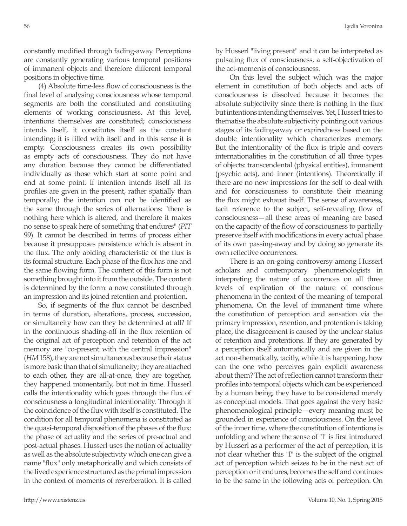constantly modified through fading-away. Perceptions are constantly generating various temporal positions of immanent objects and therefore different temporal positions in objective time.

(4) Absolute time-less flow of consciousness is the final level of analysing consciousness whose temporal segments are both the constituted and constituting elements of working consciousness. At this level, intentions themselves are constituted; consciousness intends itself, it constitutes itself as the constant intending; it is filled with itself and in this sense it is empty. Consciousness creates its own possibility as empty acts of consciousness. They do not have any duration because they cannot be differentiated individually as those which start at some point and end at some point. If intention intends itself all its profiles are given in the present, rather spatially than temporally; the intention can not be identified as the same through the series of alternations: "there is nothing here which is altered, and therefore it makes no sense to speak here of something that endures" (*PIT*  99). It cannot be described in terms of process either because it presupposes persistence which is absent in the flux. The only abiding characteristic of the flux is its formal structure. Each phase of the flux has one and the same flowing form. The content of this form is not something brought into it from the outside. The content is determined by the form: a now constituted through an impression and its joined retention and protention.

So, if segments of the flux cannot be described in terms of duration, alterations, process, succession, or simultaneity how can they be determined at all? If in the continuous shading-off in the flux retention of the original act of perception and retention of the act memory are "co-present with the central impression" (*HM* 158), they are not simultaneous because their status is more basic than that of simultaneity; they are attached to each other, they are all-at-once, they are together, they happened momentarily, but not in time. Husserl calls the intentionality which goes through the flux of consciousness a longitudinal intentionality. Through it the coincidence of the flux with itself is constituted. The condition for all temporal phenomena is constituted as the quasi-temporal disposition of the phases of the flux: the phase of actuality and the series of pre-actual and post-actual phases. Husserl uses the notion of actuality as well as the absolute subjectivity which one can give a name "flux" only metaphorically and which consists of the lived experience structured as the primal impression in the context of moments of reverberation. It is called

by Husserl "living present" and it can be interpreted as pulsating flux of consciousness, a self-objectivation of the act-moments of consciousness.

On this level the subject which was the major element in constitution of both objects and acts of consciousness is dissolved because it becomes the absolute subjectivity since there is nothing in the flux but intentions intending themselves. Yet, Husserl tries to thematise the absolute subjectivity pointing out various stages of its fading-away or expiredness based on the double intentionality which characterizes memory. But the intentionality of the flux is triple and covers internationalities in the constitution of all three types of objects: transcendental (physical entities), immanent (psychic acts), and inner (intentions). Theoretically if there are no new impressions for the self to deal with and for consciousness to constitute their meaning the flux might exhaust itself. The sense of awareness, tacit reference to the subject, self-revealing flow of consciousness—all these areas of meaning are based on the capacity of the flow of consciousness to partially preserve itself with modifications in every actual phase of its own passing-away and by doing so generate its own reflective occurrences.

There is an on-going controversy among Husserl scholars and contemporary phenomenologists in interpreting the nature of occurrences on all three levels of explication of the nature of conscious phenomena in the context of the meaning of temporal phenomena. On the level of immanent time where the constitution of perception and sensation via the primary impression, retention, and protention is taking place, the disagreement is caused by the unclear status of retention and protentions. If they are generated by a perception itself automatically and are given in the act non-thematically, tacitly, while it is happening, how can the one who perceives gain explicit awareness about them? The act of reflection cannot transform their profiles into temporal objects which can be experienced by a human being; they have to be considered merely as conceptual models. That goes against the very basic phenomenological principle—every meaning must be grounded in experience of consciousness. On the level of the inner time, where the constitution of intentions is unfolding and where the sense of "I" is first introduced by Husserl as a performer of the act of perception, it is not clear whether this "I" is the subject of the original act of perception which seizes to be in the next act of perception or it endures, becomes the self and continues to be the same in the following acts of perception. On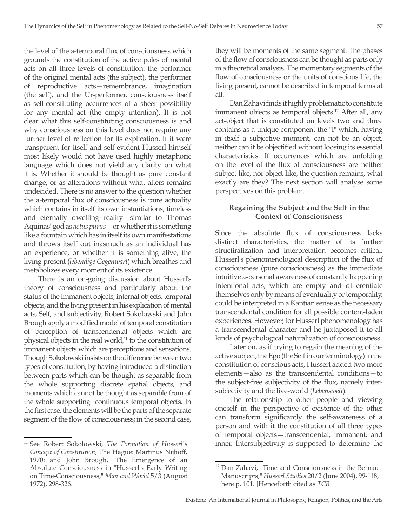the level of the a-temporal flux of consciousness which grounds the constitution of the active poles of mental acts on all three levels of constitution: the performer of the original mental acts (the subject), the performer of reproductive acts—remembrance, imagination (the self), and the Ur-performer, consciousness itself as self-constituting occurrences of a sheer possibility for any mental act (the empty intention). It is not clear what this self-constituting consciousness is and why consciousness on this level does not require any further level of reflection for its explication. If it were transparent for itself and self-evident Husserl himself most likely would not have used highly metaphoric language which does not yield any clarity on what it is. Whether it should be thought as pure constant change, or as alterations without what alters remains undecided. There is no answer to the question whether the a-temporal flux of consciousness is pure actuality which contains in itself its own instantiations, timeless and eternally dwelling reality—similar to Thomas Aquinas' god as *actus purus*—or whether it is something like a fountain which has in itself its own manifestations and throws itself out inasmuch as an individual has an experience, or whether it is something alive, the living present (*lebendige Gegenwart*) which breathes and metabolizes every moment of its existence.

There is an on-going discussion about Husserl's theory of consciousness and particularly about the status of the immanent objects, internal objects, temporal objects, and the living present in his explication of mental acts, Self, and subjectivity. Robert Sokolowski and John Brough apply a modified model of temporal constitution of perception of transcendental objects which are physical objects in the real world, $11$  to the constitution of immanent objects which are perceptions and sensations. Though Sokolowski insists on the difference between two types of constitution, by having introduced a distinction between parts which can be thought as separable from the whole supporting discrete spatial objects, and moments which cannot be thought as separable from of the whole supporting continuous temporal objects. In the first case, the elements will be the parts of the separate segment of the flow of consciousness; in the second case, they will be moments of the same segment. The phases of the flow of consciousness can be thought as parts only in a theoretical analysis. The momentary segments of the flow of consciousness or the units of conscious life, the living present, cannot be described in temporal terms at all.

Dan Zahavi finds it highly problematic to constitute immanent objects as temporal objects.<sup>12</sup> After all, any act-object that is constituted on levels two and three contains as a unique component the "I" which, having in itself a subjective moment, can not be an object, neither can it be objectified without loosing its essential characteristics. If occurrences which are unfolding on the level of the flux of consciousness are neither subject-like, nor object-like, the question remains, what exactly are they? The next section will analyse some perspectives on this problem.

## **Regaining the Subject and the Self in the Context of Consciousness**

Since the absolute flux of consciousness lacks distinct characteristics, the matter of its further structiralization and interpretation becomes critical. Husserl's phenomenological description of the flux of consciousness (pure consciousness) as the immediate intuitive a-personal awareness of constantly happening intentional acts, which are empty and differentiate themselves only by means of eventuality or temporality, could be interpreted in a Kantian sense as the necessary transcendental condition for all possible content-laden experiences. However, for Husserl phenomenology has a transcendental character and he juxtaposed it to all kinds of psychological naturalization of consciousness.

Later on, as if trying to regain the meaning of the active subject, the Ego (the Self in our terminology) in the constitution of conscious acts, Husserl added two more elements—also as the transcendental conditions—to the subject-free subjectivity of the flux, namely intersubjectivity and the live-world (*Lebenswelt*).

The relationship to other people and viewing oneself in the perspective of existence of the other can transform significantly the self-awareness of a person and with it the constitution of all three types of temporal objects—transcendental, immanent, and inner. Intersubjectivity is supposed to determine the

<sup>11</sup> See Robert Sokolowski, *The Formation of Husserl's Concept of Constitution*, The Hague: Martinus Nijhoff, 1970; and John Brough, "The Emergence of an Absolute Consciousness in "Husserl's Early Writing on Time-Consciousness," *Man and World* 5/3 (August 1972), 298-326.

<sup>12</sup> Dan Zahavi, "Time and Consciousness in the Bernau Manuscripts," *Husserl Studies* 20/2 (June 2004), 99-118, here p. 101. [Henceforth cited as *TCB*]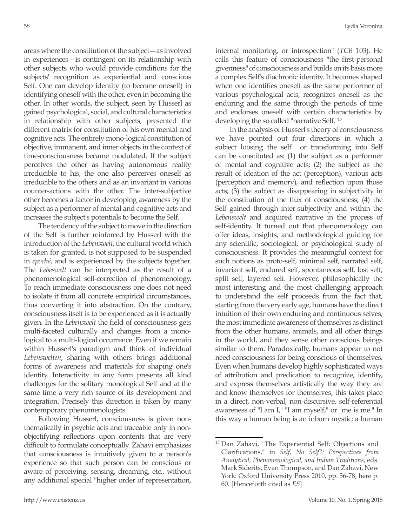areas where the constitution of the subject—as involved in experiences—is contingent on its relationship with other subjects who would provide conditions for the subjects' recognition as experiential and conscious Self. One can develop identity (to become oneself) in identifying oneself with the other, even in becoming the other. In other words, the subject, seen by Husserl as gained psychological, social, and cultural characteristics in relationship with other subjects, presented the different matrix for constitution of his own mental and cognitive acts. The entirely mono-logical constitution of objective, immanent, and inner objects in the context of time-consciousness became modulated. If the subject perceives the other as having autonomous reality irreducible to his, the one also perceives oneself as irreducible to the others and as an invariant in various counter-actions with the other. The inter-subjective other becomes a factor in developing awareness by the subject as a performer of mental and cognitive acts and increases the subject's potentials to become the Self.

The tendency of the subject to move in the direction of the Self is further reinforced by Husserl with the introduction of the *Lebenswelt*, the cultural world which is taken for granted, is not supposed to be suspended in *epoché*, and is experienced by the subjects together. The *Lebeswelt* can be interpreted as the result of a phenomenological self-correction of phenomenology. To reach immediate consciousness one does not need to isolate it from all concrete empirical circumstances, thus converting it into abstraction. On the contrary, consciousness itself is to be experienced as it is actually given. In the *Lebenswelt* the field of consciousness gets multi-faceted culturally and changes from a monological to a multi-logical occurrence. Even if we remain within Husserl's paradigm and think of individual *Lebenswelten*, sharing with others brings additional forms of awareness and materials for shaping one's identity. Interactivity in any form presents all kind challenges for the solitary monological Self and at the same time a very rich source of its development and integration. Precisely this direction is taken by many contemporary phenomenologists.

Following Husserl, consciousness is given nonthematically in psychic acts and traceable only in nonobjectifying reflections upon contents that are very difficult to formulate conceptually. Zahavi emphasizes that consciousness is intuitively given to a person's experience so that such person can be conscious or aware of perceiving, sensing, dreaming, etc., without any additional special "higher order of representation, internal monitoring, or introspection" (*TCB* 103). He calls this feature of consciousness "the first-personal givenness" of consciousness and builds on its basis more a complex Self's diachronic identity. It becomes shaped when one identifies oneself as the same performer of various psychological acts, recognizes oneself as the enduring and the same through the periods of time and endorses oneself with certain characteristics by developing the so called "narrative Self."13

In the analysis of Husserl's theory of consciousness we have pointed out four directions in which a subject loosing the self or transforming into Self can be constituted as: (1) the subject as a performer of mental and cognitive acts; (2) the subject as the result of ideation of the act (perception), various acts (perception and memory), and reflection upon those acts; (3) the subject as disappearing in subjectivity in the constitution of the flux of consciousness; (4) the Self gained through inter-subjectivity and within the *Lebenswelt* and acquired narrative in the process of self-identity. It turned out that phenomenology can offer ideas, insights, and methodological guiding for any scientific, sociological, or psychological study of consciousness. It provides the meaningful context for such notions as proto-self, minimal self, narrated self, invariant self, endured self, spontaneous self, lost self, split self, layered self. However, philosophically the most interesting and the most challenging approach to understand the self proceeds from the fact that, starting from the very early age, humans have the direct intuition of their own enduring and continuous selves, the most immediate awareness of themselves as distinct from the other humans, animals, and all other things in the world, and they sense other conscious beings similar to them. Paradoxically, humans appear to not need consciousness for being conscious of themselves. Even when humans develop highly sophisticated ways of attribution and predication to recognize, identify, and express themselves artistically the way they are and know themselves for themselves, this takes place in a direct, non-verbal, non-discursive, self-referential awareness of "I am I," "I am myself," or "me is me." In this way a human being is an inborn mystic; a human

<sup>13</sup> Dan Zahavi, "The Experiential Self: Objections and Clarifications," in *Self, No Self?: Perspectives from Analytical, Phenomenological, and Indian Traditions*, eds. Mark Siderits, Evan Thompson, and Dan Zahavi, New York: Oxford University Press 2010, pp. 56-78, here p. 60. [Henceforth cited as *ES*]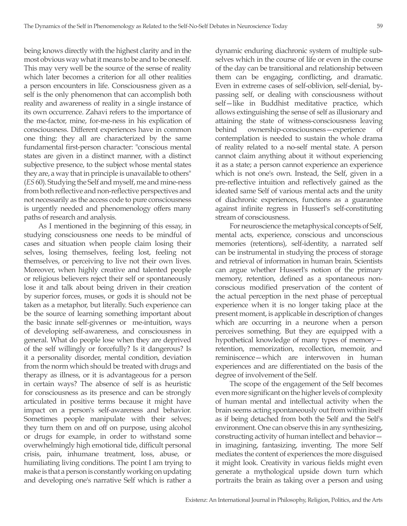being knows directly with the highest clarity and in the most obvious way what it means to be and to be oneself. This may very well be the source of the sense of reality which later becomes a criterion for all other realities a person encounters in life. Consciousness given as a self is the only phenomenon that can accomplish both reality and awareness of reality in a single instance of its own occurrence. Zahavi refers to the importance of the me-factor, mine, for-me-ness in his explication of consciousness. Different experiences have in common one thing: they all are characterized by the same fundamental first-person character: "conscious mental states are given in a distinct manner, with a distinct subjective presence, to the subject whose mental states they are, a way that in principle is unavailable to others" (*ES* 60). Studying the Self and myself, me and mine-ness from both reflective and non-reflective perspectives and not necessarily as the access code to pure consciousness is urgently needed and phenomenology offers many paths of research and analysis.

As I mentioned in the beginning of this essay, in studying consciousness one needs to be mindful of cases and situation when people claim losing their selves, losing themselves, feeling lost, feeling not themselves, or perceiving to live not their own lives. Moreover, when highly creative and talented people or religious believers reject their self or spontaneously lose it and talk about being driven in their creation by superior forces, muses, or gods it is should not be taken as a metaphor, but literally. Such experience can be the source of learning something important about the basic innate self-givennes or me-intuition, ways of developing self-awareness, and consciousness in general. What do people lose when they are deprived of the self willingly or forcefully? Is it dangerous? Is it a personality disorder, mental condition, deviation from the norm which should be treated with drugs and therapy as illness, or it is advantageous for a person in certain ways? The absence of self is as heuristic for consciousness as its presence and can be strongly articulated in positive terms because it might have impact on a person's self-awareness and behavior. Sometimes people manipulate with their selves; they turn them on and off on purpose, using alcohol or drugs for example, in order to withstand some overwhelmingly high emotional tide, difficult personal crisis, pain, inhumane treatment, loss, abuse, or humiliating living conditions. The point I am trying to make is that a person is constantly working on updating and developing one's narrative Self which is rather a

dynamic enduring diachronic system of multiple subselves which in the course of life or even in the course of the day can be transitional and relationship between them can be engaging, conflicting, and dramatic. Even in extreme cases of self-oblivion, self-denial, bypassing self, or dealing with consciousness without self—like in Buddhist meditative practice, which allows extinguishing the sense of self as illusionary and attaining the state of witness-consciousness leaving behind ownership-consciousness—experience of contemplation is needed to sustain the whole drama of reality related to a no-self mental state. A person cannot claim anything about it without experiencing it as a state; a person cannot experience an experience which is not one's own. Instead, the Self, given in a pre-reflective intuition and reflectively gained as the ideated same Self of various mental acts and the unity of diachronic experiences, functions as a guarantee against infinite regress in Husserl's self-constituting stream of consciousness.

For neuroscience the metaphysical concepts of Self, mental acts, experience, conscious and unconscious memories (retentions), self-identity, a narrated self can be instrumental in studying the process of storage and retrieval of information in human brain. Scientists can argue whether Husserl's notion of the primary memory, retention, defined as a spontaneous nonconscious modified preservation of the content of the actual perception in the next phase of perceptual experience when it is no longer taking place at the present moment, is applicable in description of changes which are occurring in a neurone when a person perceives something. But they are equipped with a hypothetical knowledge of many types of memory retention, memorization, recollection, memoir, and reminiscence—which are interwoven in human experiences and are differentiated on the basis of the degree of involvement of the Self.

The scope of the engagement of the Self becomes even more significant on the higher levels of complexity of human mental and intellectual activity when the brain seems acting spontaneously out from within itself as if being detached from both the Self and the Self's environment. One can observe this in any synthesizing, constructing activity of human intellect and behavior in imagining, fantasizing, inventing. The more Self mediates the content of experiences the more disguised it might look. Creativity in various fields might even generate a mythological upside down turn which portraits the brain as taking over a person and using